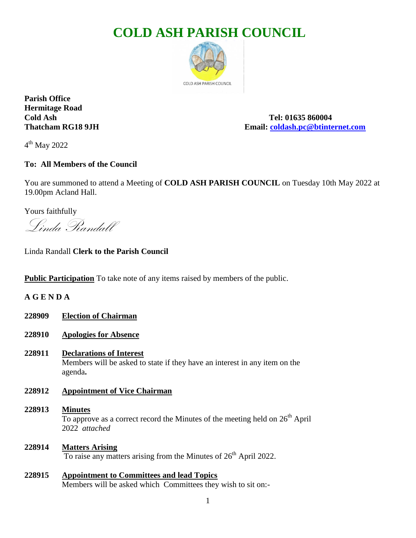# **COLD ASH PARISH COUNCIL**



**Parish Office Hermitage Road**

**Cold Ash Tel: 01635 860004 Thatcham RG18 9JH Email: [coldash.pc@btinternet.com](mailto:coldash.pc@btinternet.com)**

4<sup>th</sup> May 2022

# **To: All Members of the Council**

You are summoned to attend a Meeting of **COLD ASH PARISH COUNCIL** on Tuesday 10th May 2022 at 19.00pm Acland Hall.

Yours faithfully

Linda Randall

Linda Randall **Clerk to the Parish Council**

**Public Participation** To take note of any items raised by members of the public.

**A G E N D A**

- **228909 Election of Chairman**
- **228910 Apologies for Absence**
- **228911 Declarations of Interest** Members will be asked to state if they have an interest in any item on the agenda**.**
- **228912 Appointment of Vice Chairman**
- **228913 Minutes**  To approve as a correct record the Minutes of the meeting held on  $26<sup>th</sup>$  April 2022 *attached*
- **228914 Matters Arising** To raise any matters arising from the Minutes of  $26<sup>th</sup>$  April 2022.
- **228915 Appointment to Committees and lead Topics** Members will be asked which Committees they wish to sit on:-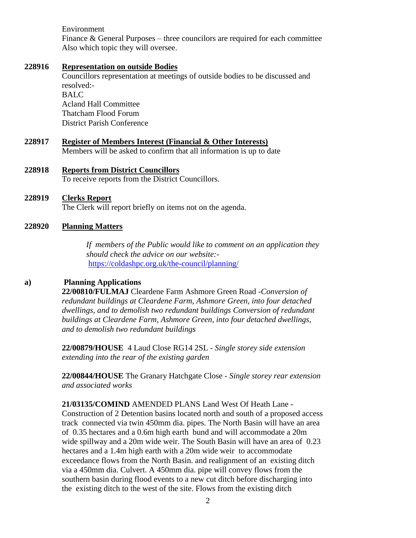Environment

Finance & General Purposes – three councilors are required for each committee Also which topic they will oversee.

#### **228916 Representation on outside Bodies**

Councillors representation at meetings of outside bodies to be discussed and resolved:- BALC Acland Hall Committee Thatcham Flood Forum District Parish Conference

**228917 Register of Members Interest (Financial & Other Interests)** Members will be asked to confirm that all information is up to date

### **228918 Reports from District Councillors** To receive reports from the District Councillors.

### **228919 Clerks Report** The Clerk will report briefly on items not on the agenda.

#### **228920 Planning Matters**

 *If members of the Public would like to comment on an application they should check the advice on our website:* <https://coldashpc.org.uk/the-council/planning/>

#### **a) Planning Applications**

**22/00810/FULMAJ** Cleardene Farm Ashmore Green Road -*Conversion of redundant buildings at Cleardene Farm, Ashmore Green, into four detached dwellings, and to demolish two redundant buildings Conversion of redundant buildings at Cleardene Farm, Ashmore Green, into four detached dwellings, and to demolish two redundant buildings* 

**22/00879/HOUSE** 4 Laud Close RG14 2SL - *Single storey side extension extending into the rear of the existing garden*

**22/00844/HOUSE** The Granary Hatchgate Close - *Single storey rear extension and associated works*

**21/03135/COMIND** AMENDED PLANS Land West Of Heath Lane - Construction of 2 Detention basins located north and south of a proposed access track connected via twin 450mm dia. pipes. The North Basin will have an area of 0.35 hectares and a 0.6m high earth bund and will accommodate a 20m wide spillway and a 20m wide weir. The South Basin will have an area of 0.23 hectares and a 1.4m high earth with a 20m wide weir to accommodate exceedance flows from the North Basin. and realignment of an existing ditch via a 450mm dia. Culvert. A 450mm dia. pipe will convey flows from the southern basin during flood events to a new cut ditch before discharging into the existing ditch to the west of the site. Flows from the existing ditch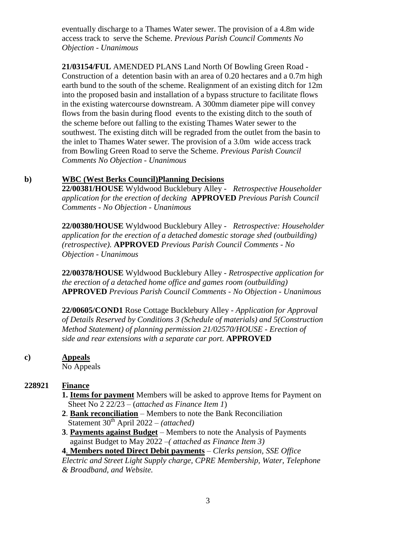eventually discharge to a Thames Water sewer. The provision of a 4.8m wide access track to serve the Scheme. *Previous Parish Council Comments No Objection - Unanimous*

**21/03154/FUL** AMENDED PLANS Land North Of Bowling Green Road - Construction of a detention basin with an area of 0.20 hectares and a 0.7m high earth bund to the south of the scheme. Realignment of an existing ditch for 12m into the proposed basin and installation of a bypass structure to facilitate flows in the existing watercourse downstream. A 300mm diameter pipe will convey flows from the basin during flood events to the existing ditch to the south of the scheme before out falling to the existing Thames Water sewer to the southwest. The existing ditch will be regraded from the outlet from the basin to the inlet to Thames Water sewer. The provision of a 3.0m wide access track from Bowling Green Road to serve the Scheme. *Previous Parish Council Comments No Objection - Unanimous*

#### **b) WBC (West Berks Council)Planning Decisions**

**22/00381/HOUSE** Wyldwood Bucklebury Alley - *Retrospective Householder application for the erection of decking* **APPROVED** *Previous Parish Council Comments - No Objection - Unanimous*

**22/00380/HOUSE** Wyldwood Bucklebury Alley - *Retrospective: Householder application for the erection of a detached domestic storage shed (outbuilding) (retrospective).* **APPROVED** *Previous Parish Council Comments - No Objection - Unanimous*

**22/00378/HOUSE** Wyldwood Bucklebury Alley - *Retrospective application for the erection of a detached home office and games room (outbuilding)*  **APPROVED** *Previous Parish Council Comments - No Objection - Unanimous* 

**22/00605/COND1** Rose Cottage Bucklebury Alley *- Application for Approval of Details Reserved by Conditions 3 (Schedule of materials) and 5(Construction Method Statement) of planning permission 21/02570/HOUSE - Erection of side and rear extensions with a separate car port.* **APPROVED**

#### **c) Appeals**

No Appeals

## **228921 Finance**

- **1. Items for payment** Members will be asked to approve Items for Payment on Sheet No 2 22/23 – (*attached as Finance Item 1*)
- **2**. **Bank reconciliation** Members to note the Bank Reconciliation Statement 30<sup>th</sup> April 2022 – *(attached)*
- **3**. **Payments against Budget** Members to note the Analysis of Payments against Budget to May 2022 *–( attached as Finance Item 3)*
- **4**. **Members noted Direct Debit payments** *Clerks pension, SSE Office*

*Electric and Street Light Supply charge, CPRE Membership, Water, Telephone & Broadband, and Website.*